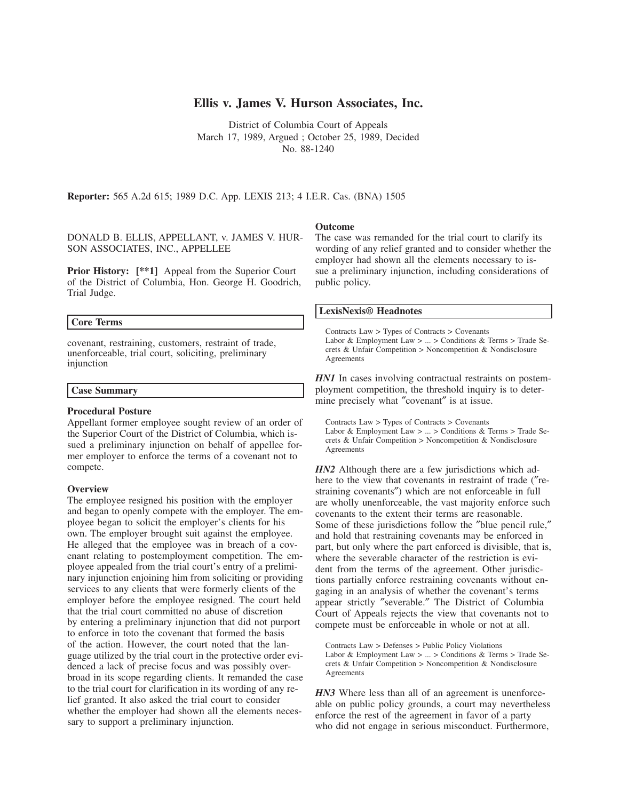# **Ellis v. James V. Hurson Associates, Inc.**

District of Columbia Court of Appeals March 17, 1989, Argued ; October 25, 1989, Decided No. 88-1240

**Reporter:** 565 A.2d 615; 1989 D.C. App. LEXIS 213; 4 I.E.R. Cas. (BNA) 1505

DONALD B. ELLIS, APPELLANT, v. JAMES V. HUR-SON ASSOCIATES, INC., APPELLEE

**Prior History:** [\*\*1] Appeal from the Superior Court of the District of Columbia, Hon. George H. Goodrich, Trial Judge.

## **Core Terms**

covenant, restraining, customers, restraint of trade, unenforceable, trial court, soliciting, preliminary injunction

# **Case Summary**

#### **Procedural Posture**

Appellant former employee sought review of an order of the Superior Court of the District of Columbia, which issued a preliminary injunction on behalf of appellee former employer to enforce the terms of a covenant not to compete.

#### **Overview**

The employee resigned his position with the employer and began to openly compete with the employer. The employee began to solicit the employer's clients for his own. The employer brought suit against the employee. He alleged that the employee was in breach of a covenant relating to postemployment competition. The employee appealed from the trial court's entry of a preliminary injunction enjoining him from soliciting or providing services to any clients that were formerly clients of the employer before the employee resigned. The court held that the trial court committed no abuse of discretion by entering a preliminary injunction that did not purport to enforce in toto the covenant that formed the basis of the action. However, the court noted that the language utilized by the trial court in the protective order evidenced a lack of precise focus and was possibly overbroad in its scope regarding clients. It remanded the case to the trial court for clarification in its wording of any relief granted. It also asked the trial court to consider whether the employer had shown all the elements necessary to support a preliminary injunction.

#### **Outcome**

The case was remanded for the trial court to clarify its wording of any relief granted and to consider whether the employer had shown all the elements necessary to issue a preliminary injunction, including considerations of public policy.

## **LexisNexis® Headnotes**

Contracts Law > Types of Contracts > Covenants Labor & Employment Law > ... > Conditions & Terms > Trade Secrets & Unfair Competition > Noncompetition & Nondisclosure Agreements

*HN1* In cases involving contractual restraints on postemployment competition, the threshold inquiry is to determine precisely what ″covenant″ is at issue.

Contracts Law > Types of Contracts > Covenants Labor & Employment Law > ... > Conditions & Terms > Trade Secrets & Unfair Competition > Noncompetition & Nondisclosure Agreements

*HN2* Although there are a few jurisdictions which adhere to the view that covenants in restraint of trade (″restraining covenants″) which are not enforceable in full are wholly unenforceable, the vast majority enforce such covenants to the extent their terms are reasonable. Some of these jurisdictions follow the ″blue pencil rule,″ and hold that restraining covenants may be enforced in part, but only where the part enforced is divisible, that is, where the severable character of the restriction is evident from the terms of the agreement. Other jurisdictions partially enforce restraining covenants without engaging in an analysis of whether the covenant's terms appear strictly ″severable.″ The District of Columbia Court of Appeals rejects the view that covenants not to compete must be enforceable in whole or not at all.

Contracts Law > Defenses > Public Policy Violations Labor & Employment Law > ... > Conditions & Terms > Trade Secrets & Unfair Competition > Noncompetition & Nondisclosure Agreements

*HN3* Where less than all of an agreement is unenforceable on public policy grounds, a court may nevertheless enforce the rest of the agreement in favor of a party who did not engage in serious misconduct. Furthermore,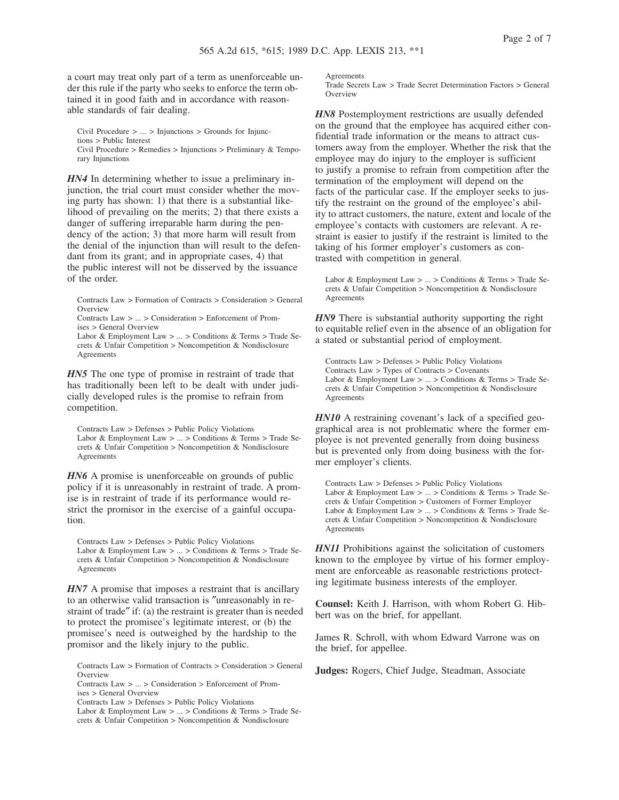a court may treat only part of a term as unenforceable under this rule if the party who seeks to enforce the term obtained it in good faith and in accordance with reasonable standards of fair dealing.

Civil Procedure > ... > Injunctions > Grounds for Injunctions > Public Interest Civil Procedure > Remedies > Injunctions > Preliminary & Temporary Injunctions

*HN4* In determining whether to issue a preliminary injunction, the trial court must consider whether the moving party has shown: 1) that there is a substantial likelihood of prevailing on the merits; 2) that there exists a danger of suffering irreparable harm during the pendency of the action; 3) that more harm will result from the denial of the injunction than will result to the defendant from its grant; and in appropriate cases, 4) that the public interest will not be disserved by the issuance of the order.

Contracts Law > Formation of Contracts > Consideration > General **Overview** 

Contracts Law > ... > Consideration > Enforcement of Promises > General Overview

Labor & Employment Law > ... > Conditions & Terms > Trade Secrets & Unfair Competition > Noncompetition & Nondisclosure Agreements

*HN5* The one type of promise in restraint of trade that has traditionally been left to be dealt with under judicially developed rules is the promise to refrain from competition.

Contracts Law > Defenses > Public Policy Violations Labor & Employment Law > ... > Conditions & Terms > Trade Secrets & Unfair Competition > Noncompetition & Nondisclosure Agreements

*HN6* A promise is unenforceable on grounds of public policy if it is unreasonably in restraint of trade. A promise is in restraint of trade if its performance would restrict the promisor in the exercise of a gainful occupation.

Contracts Law > Defenses > Public Policy Violations Labor & Employment Law > ... > Conditions & Terms > Trade Secrets & Unfair Competition > Noncompetition & Nondisclosure Agreements

*HN7* A promise that imposes a restraint that is ancillary to an otherwise valid transaction is ″unreasonably in restraint of trade″ if: (a) the restraint is greater than is needed to protect the promisee's legitimate interest, or (b) the promisee's need is outweighed by the hardship to the promisor and the likely injury to the public.

Contracts Law > Formation of Contracts > Consideration > General Overview

Labor & Employment Law > ... > Conditions & Terms > Trade Secrets & Unfair Competition > Noncompetition & Nondisclosure

**A** oreements

Trade Secrets Law > Trade Secret Determination Factors > General **Overview** 

*HN8* Postemployment restrictions are usually defended on the ground that the employee has acquired either confidential trade information or the means to attract customers away from the employer. Whether the risk that the employee may do injury to the employer is sufficient to justify a promise to refrain from competition after the termination of the employment will depend on the facts of the particular case. If the employer seeks to justify the restraint on the ground of the employee's ability to attract customers, the nature, extent and locale of the employee's contacts with customers are relevant. A restraint is easier to justify if the restraint is limited to the taking of his former employer's customers as contrasted with competition in general.

Labor & Employment Law > ... > Conditions & Terms > Trade Secrets & Unfair Competition > Noncompetition & Nondisclosure Agreements

*HN9* There is substantial authority supporting the right to equitable relief even in the absence of an obligation for a stated or substantial period of employment.

Contracts Law > Defenses > Public Policy Violations Contracts Law > Types of Contracts > Covenants Labor & Employment Law  $> ... >$  Conditions & Terms  $>$  Trade Secrets & Unfair Competition > Noncompetition & Nondisclosure Agreements

*HN10* A restraining covenant's lack of a specified geographical area is not problematic where the former employee is not prevented generally from doing business but is prevented only from doing business with the former employer's clients.

Contracts Law > Defenses > Public Policy Violations Labor & Employment Law > ... > Conditions & Terms > Trade Secrets & Unfair Competition > Customers of Former Employer Labor & Employment Law > ... > Conditions & Terms > Trade Secrets & Unfair Competition > Noncompetition & Nondisclosure Agreements

*HN11* Prohibitions against the solicitation of customers known to the employee by virtue of his former employment are enforceable as reasonable restrictions protecting legitimate business interests of the employer.

**Counsel:** Keith J. Harrison, with whom Robert G. Hibbert was on the brief, for appellant.

James R. Schroll, with whom Edward Varrone was on the brief, for appellee.

**Judges:** Rogers, Chief Judge, Steadman, Associate

Contracts Law > ... > Consideration > Enforcement of Promises > General Overview

Contracts Law > Defenses > Public Policy Violations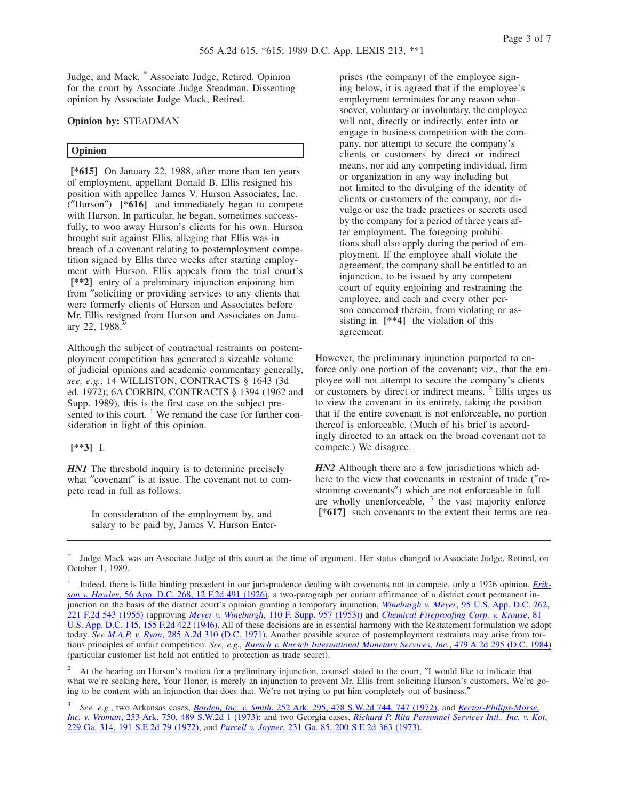Page 3 of 7

Judge, and Mack, \* Associate Judge, Retired. Opinion for the court by Associate Judge Steadman. Dissenting opinion by Associate Judge Mack, Retired.

# **Opinion by:** STEADMAN

## **Opinion**

**[\*615]** On January 22, 1988, after more than ten years of employment, appellant Donald B. Ellis resigned his position with appellee James V. Hurson Associates, Inc. (″Hurson″) **[\*616]** and immediately began to compete with Hurson. In particular, he began, sometimes successfully, to woo away Hurson's clients for his own. Hurson brought suit against Ellis, alleging that Ellis was in breach of a covenant relating to postemployment competition signed by Ellis three weeks after starting employment with Hurson. Ellis appeals from the trial court's **[\*\*2]** entry of a preliminary injunction enjoining him from ″soliciting or providing services to any clients that were formerly clients of Hurson and Associates before Mr. Ellis resigned from Hurson and Associates on January 22, 1988.″

Although the subject of contractual restraints on postemployment competition has generated a sizeable volume of judicial opinions and academic commentary generally, *see, e.g.*, 14 WILLISTON, CONTRACTS § 1643 (3d ed. 1972); 6A CORBIN, CONTRACTS § 1394 (1962 and Supp. 1989), this is the first case on the subject presented to this court.  $\frac{1}{1}$  We remand the case for further consideration in light of this opinion.

#### **[\*\*3]** I.

*HN1* The threshold inquiry is to determine precisely what "covenant" is at issue. The covenant not to compete read in full as follows:

> In consideration of the employment by, and salary to be paid by, James V. Hurson Enter-

prises (the company) of the employee signing below, it is agreed that if the employee's employment terminates for any reason whatsoever, voluntary or involuntary, the employee will not, directly or indirectly, enter into or engage in business competition with the company, nor attempt to secure the company's clients or customers by direct or indirect means, nor aid any competing individual, firm or organization in any way including but not limited to the divulging of the identity of clients or customers of the company, nor divulge or use the trade practices or secrets used by the company for a period of three years after employment. The foregoing prohibitions shall also apply during the period of employment. If the employee shall violate the agreement, the company shall be entitled to an injunction, to be issued by any competent court of equity enjoining and restraining the employee, and each and every other person concerned therein, from violating or assisting in **[\*\*4]** the violation of this agreement.

However, the preliminary injunction purported to enforce only one portion of the covenant; viz., that the employee will not attempt to secure the company's clients or customers by direct or indirect means. <sup>2</sup> Ellis urges us to view the covenant in its entirety, taking the position that if the entire covenant is not enforceable, no portion thereof is enforceable. (Much of his brief is accordingly directed to an attack on the broad covenant not to compete.) We disagree.

*HN2* Although there are a few jurisdictions which adhere to the view that covenants in restraint of trade (″restraining covenants″) which are not enforceable in full are wholly unenforceable,  $3$  the vast majority enforce **[\*617]** such covenants to the extent their terms are rea-

<sup>\*</sup> Judge Mack was an Associate Judge of this court at the time of argument. Her status changed to Associate Judge, Retired, on October 1, 1989.

<sup>1</sup> Indeed, there is little binding precedent in our jurisprudence dealing with covenants not to compete, only a 1926 opinion, *Erikson v. Hawley*, 56 App. D.C. 268, 12 F.2d 491 (1926), a two-paragraph per curiam affirmance of a district court permanent injunction on the basis of the district court's opinion granting a temporary injunction, *Wineburgh v. Meyer*, 95 U.S. App. D.C. 262, 221 F.2d 543 (1955) (approving *Meyer v. Wineburgh*, 110 F. Supp. 957 (1953)) and *Chemical Fireproofing Corp. v. Krouse*, 81 U.S. App. D.C. 145, 155 F.2d 422 (1946). All of these decisions are in essential harmony with the Restatement formulation we adopt today. *See M.A.P. v. Ryan*, 285 A.2d 310 (D.C. 1971). Another possible source of postemployment restraints may arise from tortious principles of unfair competition. *See, e.g., Ruesch v. Ruesch International Monetary Services, Inc.*, 479 A.2d 295 (D.C. 1984) (particular customer list held not entitled to protection as trade secret).

<sup>2</sup> At the hearing on Hurson's motion for a preliminary injunction, counsel stated to the court, ″I would like to indicate that what we're seeking here, Your Honor, is merely an injunction to prevent Mr. Ellis from soliciting Hurson's customers. We're going to be content with an injunction that does that. We're not trying to put him completely out of business.″

<sup>3</sup> *See, e.g.*, two Arkansas cases, *Borden, Inc. v. Smith*, 252 Ark. 295, 478 S.W.2d 744, 747 (1972), and *Rector-Philips-Morse, Inc. v. Vroman*, 253 Ark. 750, 489 S.W.2d 1 (1973); and two Georgia cases, *Richard P. Rita Personnel Services Intl., Inc. v. Kot*, 229 Ga. 314, 191 S.E.2d 79 (1972), and *Purcell v. Joyner*, 231 Ga. 85, 200 S.E.2d 363 (1973).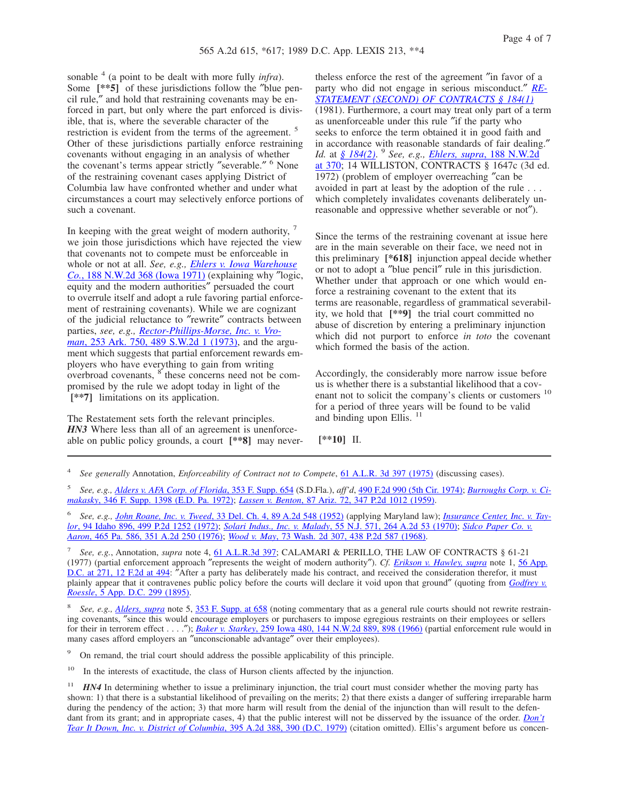sonable <sup>4</sup> (a point to be dealt with more fully *infra*). Some  $[**5]$  of these jurisdictions follow the "blue pencil rule,″ and hold that restraining covenants may be enforced in part, but only where the part enforced is divisible, that is, where the severable character of the restriction is evident from the terms of the agreement. <sup>5</sup> Other of these jurisdictions partially enforce restraining covenants without engaging in an analysis of whether the covenant's terms appear strictly ″severable.″ <sup>6</sup> None of the restraining covenant cases applying District of Columbia law have confronted whether and under what circumstances a court may selectively enforce portions of such a covenant.

In keeping with the great weight of modern authority, <sup>7</sup> we join those jurisdictions which have rejected the view that covenants not to compete must be enforceable in whole or not at all. *See, e.g., Ehlers v. Iowa Warehouse Co.*, 188 N.W.2d 368 (Iowa 1971) (explaining why ″logic, equity and the modern authorities″ persuaded the court to overrule itself and adopt a rule favoring partial enforcement of restraining covenants). While we are cognizant of the judicial reluctance to ″rewrite″ contracts between parties, *see, e.g., Rector-Phillips-Morse, Inc. v. Vroman*, 253 Ark. 750, 489 S.W.2d 1 (1973), and the argument which suggests that partial enforcement rewards employers who have everything to gain from writing overbroad covenants,  $\delta$  these concerns need not be compromised by the rule we adopt today in light of the **[\*\*7]** limitations on its application.

The Restatement sets forth the relevant principles. *HN3* Where less than all of an agreement is unenforceable on public policy grounds, a court **[\*\*8]** may never-

theless enforce the rest of the agreement ″in favor of a party who did not engage in serious misconduct.″ *RE-STATEMENT (SECOND) OF CONTRACTS § 184(1)* (1981). Furthermore, a court may treat only part of a term as unenforceable under this rule ″if the party who seeks to enforce the term obtained it in good faith and in accordance with reasonable standards of fair dealing.″ *Id.* at *§ 184(2)*. 9 *See, e.g., Ehlers, supra*, 188 N.W.2d at 370; 14 WILLISTON, CONTRACTS § 1647c (3d ed. 1972) (problem of employer overreaching ″can be avoided in part at least by the adoption of the rule . . . which completely invalidates covenants deliberately unreasonable and oppressive whether severable or not″).

Since the terms of the restraining covenant at issue here are in the main severable on their face, we need not in this preliminary **[\*618]** injunction appeal decide whether or not to adopt a ″blue pencil″ rule in this jurisdiction. Whether under that approach or one which would enforce a restraining covenant to the extent that its terms are reasonable, regardless of grammatical severability, we hold that **[\*\*9]** the trial court committed no abuse of discretion by entering a preliminary injunction which did not purport to enforce *in toto* the covenant which formed the basis of the action.

Accordingly, the considerably more narrow issue before us is whether there is a substantial likelihood that a covenant not to solicit the company's clients or customers <sup>10</sup> for a period of three years will be found to be valid and binding upon Ellis.<sup>11</sup>

**[\*\*10]** II.

4 *See generally* Annotation, *Enforceability of Contract not to Compete*, 61 A.L.R. 3d 397 (1975) (discussing cases).

5 *See, e.g., Alders v. AFA Corp. of Florida*, 353 F. Supp. 654 (S.D.Fla.), *aff'd*, 490 F.2d 990 (5th Cir. 1974); *Burroughs Corp. v. Cimakasky*, 346 F. Supp. 1398 (E.D. Pa. 1972); *Lassen v. Benton*, 87 Ariz. 72, 347 P.2d 1012 (1959).

6 *See, e.g., John Roane, Inc. v. Tweed*, 33 Del. Ch. 4, 89 A.2d 548 (1952) (applying Maryland law); *Insurance Center, Inc. v. Taylor*, 94 Idaho 896, 499 P.2d 1252 (1972); *Solari Indus., Inc. v. Malady*, 55 N.J. 571, 264 A.2d 53 (1970); *Sidco Paper Co. v. Aaron*, 465 Pa. 586, 351 A.2d 250 (1976); *Wood v. May*, 73 Wash. 2d 307, 438 P.2d 587 (1968).

7 *See, e.g.*, Annotation, *supra* note 4, 61 A.L.R.3d 397; CALAMARI & PERILLO, THE LAW OF CONTRACTS § 61-21 (1977) (partial enforcement approach ″represents the weight of modern authority″). *Cf. Erikson v. Hawley, supra* note 1, 56 App. D.C. at 271, 12 F.2d at 494: ″After a party has deliberately made his contract, and received the consideration therefor, it must plainly appear that it contravenes public policy before the courts will declare it void upon that ground″ (quoting from *Godfrey v. Roessle*, 5 App. D.C. 299 (1895).

8 *See, e.g., Alders, supra* note 5, 353 F. Supp. at 658 (noting commentary that as a general rule courts should not rewrite restraining covenants, ″since this would encourage employers or purchasers to impose egregious restraints on their employees or sellers for their in terrorem effect . . . .″); *Baker v. Starkey*, 259 Iowa 480, 144 N.W.2d 889, 898 (1966) (partial enforcement rule would in many cases afford employers an ″unconscionable advantage″ over their employees).

<sup>9</sup> On remand, the trial court should address the possible applicability of this principle.

<sup>10</sup> In the interests of exactitude, the class of Hurson clients affected by the injunction.

<sup>&</sup>lt;sup>11</sup> *HN4* In determining whether to issue a preliminary injunction, the trial court must consider whether the moving party has shown: 1) that there is a substantial likelihood of prevailing on the merits; 2) that there exists a danger of suffering irreparable harm during the pendency of the action; 3) that more harm will result from the denial of the injunction than will result to the defendant from its grant; and in appropriate cases, 4) that the public interest will not be disserved by the issuance of the order. *Don't Tear It Down, Inc. v. District of Columbia*, 395 A.2d 388, 390 (D.C. 1979) (citation omitted). Ellis's argument before us concen-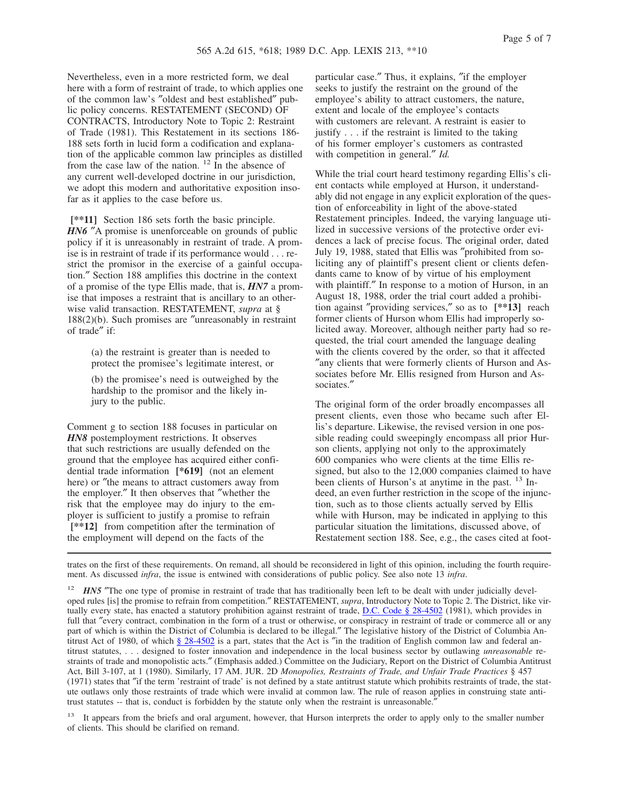Nevertheless, even in a more restricted form, we deal here with a form of restraint of trade, to which applies one of the common law's ″oldest and best established″ public policy concerns. RESTATEMENT (SECOND) OF CONTRACTS, Introductory Note to Topic 2: Restraint of Trade (1981). This Restatement in its sections 186- 188 sets forth in lucid form a codification and explanation of the applicable common law principles as distilled from the case law of the nation.  $^{12}$  In the absence of any current well-developed doctrine in our jurisdiction, we adopt this modern and authoritative exposition insofar as it applies to the case before us.

**[\*\*11]** Section 186 sets forth the basic principle. *HN6* "A promise is unenforceable on grounds of public policy if it is unreasonably in restraint of trade. A promise is in restraint of trade if its performance would . . . restrict the promisor in the exercise of a gainful occupation.″ Section 188 amplifies this doctrine in the context of a promise of the type Ellis made, that is, *HN7* a promise that imposes a restraint that is ancillary to an otherwise valid transaction. RESTATEMENT, *supra* at § 188(2)(b). Such promises are ″unreasonably in restraint of trade″ if:

> (a) the restraint is greater than is needed to protect the promisee's legitimate interest, or

(b) the promisee's need is outweighed by the hardship to the promisor and the likely injury to the public.

Comment g to section 188 focuses in particular on *HN8* postemployment restrictions. It observes that such restrictions are usually defended on the ground that the employee has acquired either confidential trade information **[\*619]** (not an element here) or "the means to attract customers away from the employer.″ It then observes that ″whether the risk that the employee may do injury to the employer is sufficient to justify a promise to refrain **[\*\*12]** from competition after the termination of the employment will depend on the facts of the

particular case.″ Thus, it explains, ″if the employer seeks to justify the restraint on the ground of the employee's ability to attract customers, the nature, extent and locale of the employee's contacts with customers are relevant. A restraint is easier to justify . . . if the restraint is limited to the taking of his former employer's customers as contrasted with competition in general.″ *Id.*

While the trial court heard testimony regarding Ellis's client contacts while employed at Hurson, it understandably did not engage in any explicit exploration of the question of enforceability in light of the above-stated Restatement principles. Indeed, the varying language utilized in successive versions of the protective order evidences a lack of precise focus. The original order, dated July 19, 1988, stated that Ellis was ″prohibited from soliciting any of plaintiff's present client or clients defendants came to know of by virtue of his employment with plaintiff." In response to a motion of Hurson, in an August 18, 1988, order the trial court added a prohibition against ″providing services,″ so as to **[\*\*13]** reach former clients of Hurson whom Ellis had improperly solicited away. Moreover, although neither party had so requested, the trial court amended the language dealing with the clients covered by the order, so that it affected ″any clients that were formerly clients of Hurson and Associates before Mr. Ellis resigned from Hurson and Associates.″

The original form of the order broadly encompasses all present clients, even those who became such after Ellis's departure. Likewise, the revised version in one possible reading could sweepingly encompass all prior Hurson clients, applying not only to the approximately 600 companies who were clients at the time Ellis resigned, but also to the 12,000 companies claimed to have been clients of Hurson's at anytime in the past. <sup>13</sup> Indeed, an even further restriction in the scope of the injunction, such as to those clients actually served by Ellis while with Hurson, may be indicated in applying to this particular situation the limitations, discussed above, of Restatement section 188. See, e.g., the cases cited at foot-

trates on the first of these requirements. On remand, all should be reconsidered in light of this opinion, including the fourth requirement. As discussed *infra*, the issue is entwined with considerations of public policy. See also note 13 *infra*.

<sup>12</sup> *HN5* "The one type of promise in restraint of trade that has traditionally been left to be dealt with under judicially developed rules [is] the promise to refrain from competition.″ RESTATEMENT, *supra*, Introductory Note to Topic 2. The District, like virtually every state, has enacted a statutory prohibition against restraint of trade, D.C. Code § 28-4502 (1981), which provides in full that "every contract, combination in the form of a trust or otherwise, or conspiracy in restraint of trade or commerce all or any part of which is within the District of Columbia is declared to be illegal.″ The legislative history of the District of Columbia Antitrust Act of 1980, of which  $\S 28-4502$  is a part, states that the Act is "in the tradition of English common law and federal antitrust statutes, . . . designed to foster innovation and independence in the local business sector by outlawing *unreasonable* restraints of trade and monopolistic acts.″ (Emphasis added.) Committee on the Judiciary, Report on the District of Columbia Antitrust Act, Bill 3-107, at 1 (1980). Similarly, 17 AM. JUR. 2D *Monopolies, Restraints of Trade, and Unfair Trade Practices* § 457 (1971) states that ″if the term 'restraint of trade' is not defined by a state antitrust statute which prohibits restraints of trade, the statute outlaws only those restraints of trade which were invalid at common law. The rule of reason applies in construing state antitrust statutes -- that is, conduct is forbidden by the statute only when the restraint is unreasonable.

<sup>13</sup> It appears from the briefs and oral argument, however, that Hurson interprets the order to apply only to the smaller number of clients. This should be clarified on remand.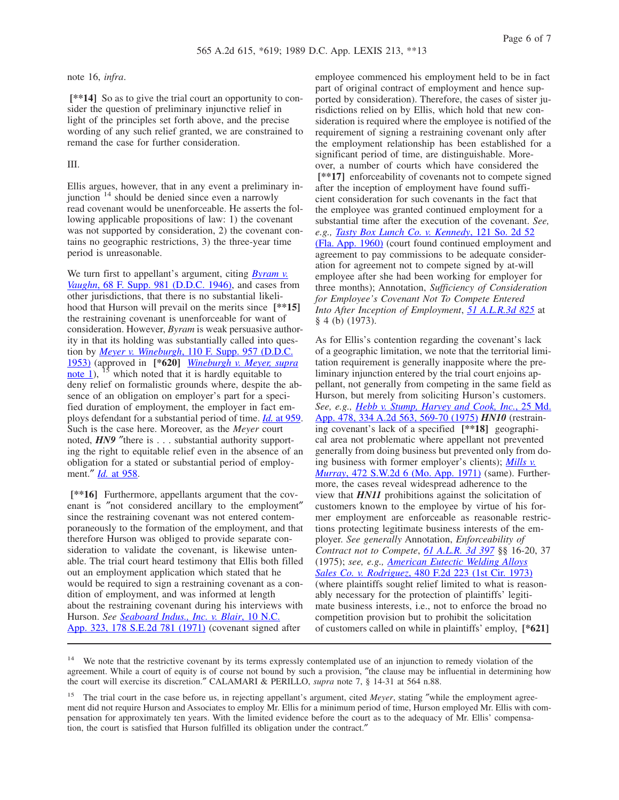note 16, *infra*.

**[\*\*14]** So as to give the trial court an opportunity to consider the question of preliminary injunctive relief in light of the principles set forth above, and the precise wording of any such relief granted, we are constrained to remand the case for further consideration.

# III.

Ellis argues, however, that in any event a preliminary injunction <sup>14</sup> should be denied since even a narrowly read covenant would be unenforceable. He asserts the following applicable propositions of law: 1) the covenant was not supported by consideration, 2) the covenant contains no geographic restrictions, 3) the three-year time period is unreasonable.

We turn first to appellant's argument, citing *Byram v. Vaughn*, 68 F. Supp. 981 (D.D.C. 1946), and cases from other jurisdictions, that there is no substantial likelihood that Hurson will prevail on the merits since **[\*\*15]** the restraining covenant is unenforceable for want of consideration. However, *Byram* is weak persuasive authority in that its holding was substantially called into question by *Meyer v. Wineburgh*, 110 F. Supp. 957 (D.D.C. 1953) (approved in **[\*620]** *Wineburgh v. Meyer, supra* note 1),  $^{15}$  which noted that it is hardly equitable to deny relief on formalistic grounds where, despite the absence of an obligation on employer's part for a specified duration of employment, the employer in fact employs defendant for a substantial period of time. *Id.* at 959. Such is the case here. Moreover, as the *Meyer* court noted, *HN9* "there is . . . substantial authority supporting the right to equitable relief even in the absence of an obligation for a stated or substantial period of employment.″ *Id.* at 958.

**[\*\*16]** Furthermore, appellants argument that the covenant is ″not considered ancillary to the employment″ since the restraining covenant was not entered contemporaneously to the formation of the employment, and that therefore Hurson was obliged to provide separate consideration to validate the covenant, is likewise untenable. The trial court heard testimony that Ellis both filled out an employment application which stated that he would be required to sign a restraining covenant as a condition of employment, and was informed at length about the restraining covenant during his interviews with Hurson. *See Seaboard Indus., Inc. v. Blair*, 10 N.C. App. 323, 178 S.E.2d 781 (1971) (covenant signed after

employee commenced his employment held to be in fact part of original contract of employment and hence supported by consideration). Therefore, the cases of sister jurisdictions relied on by Ellis, which hold that new consideration is required where the employee is notified of the requirement of signing a restraining covenant only after the employment relationship has been established for a significant period of time, are distinguishable. Moreover, a number of courts which have considered the **[\*\*17]** enforceability of covenants not to compete signed after the inception of employment have found sufficient consideration for such covenants in the fact that the employee was granted continued employment for a substantial time after the execution of the covenant. *See, e.g., Tasty Box Lunch Co. v. Kennedy*, 121 So. 2d 52 (Fla. App. 1960) (court found continued employment and agreement to pay commissions to be adequate consideration for agreement not to compete signed by at-will employee after she had been working for employer for three months); Annotation, *Sufficiency of Consideration for Employee's Covenant Not To Compete Entered Into After Inception of Employment*, *51 A.L.R.3d 825* at § 4 (b) (1973).

As for Ellis's contention regarding the covenant's lack of a geographic limitation, we note that the territorial limitation requirement is generally inapposite where the preliminary injunction entered by the trial court enjoins appellant, not generally from competing in the same field as Hurson, but merely from soliciting Hurson's customers. *See, e.g., Hebb v. Stump, Harvey and Cook, Inc.*, 25 Md. App. 478, 334 A.2d 563, 569-70 (1975) *HN10* (restraining covenant's lack of a specified **[\*\*18]** geographical area not problematic where appellant not prevented generally from doing business but prevented only from doing business with former employer's clients); *Mills v. Murray*, 472 S.W.2d 6 (Mo. App. 1971) (same). Furthermore, the cases reveal widespread adherence to the view that *HN11* prohibitions against the solicitation of customers known to the employee by virtue of his former employment are enforceable as reasonable restrictions protecting legitimate business interests of the employer. *See generally* Annotation, *Enforceability of Contract not to Compete*, *61 A.L.R. 3d 397* §§ 16-20, 37 (1975); *see, e.g., American Eutectic Welding Alloys Sales Co. v. Rodriguez*, 480 F.2d 223 (1st Cir. 1973) (where plaintiffs sought relief limited to what is reasonably necessary for the protection of plaintiffs' legitimate business interests, i.e., not to enforce the broad no competition provision but to prohibit the solicitation of customers called on while in plaintiffs' employ, **[\*621]**

<sup>&</sup>lt;sup>14</sup> We note that the restrictive covenant by its terms expressly contemplated use of an injunction to remedy violation of the agreement. While a court of equity is of course not bound by such a provision, ″the clause may be influential in determining how the court will exercise its discretion.″ CALAMARI & PERILLO, *supra* note 7, § 14-31 at 564 n.88.

<sup>&</sup>lt;sup>15</sup> The trial court in the case before us, in rejecting appellant's argument, cited *Meyer*, stating "while the employment agreement did not require Hurson and Associates to employ Mr. Ellis for a minimum period of time, Hurson employed Mr. Ellis with compensation for approximately ten years. With the limited evidence before the court as to the adequacy of Mr. Ellis' compensation, the court is satisfied that Hurson fulfilled its obligation under the contract.″